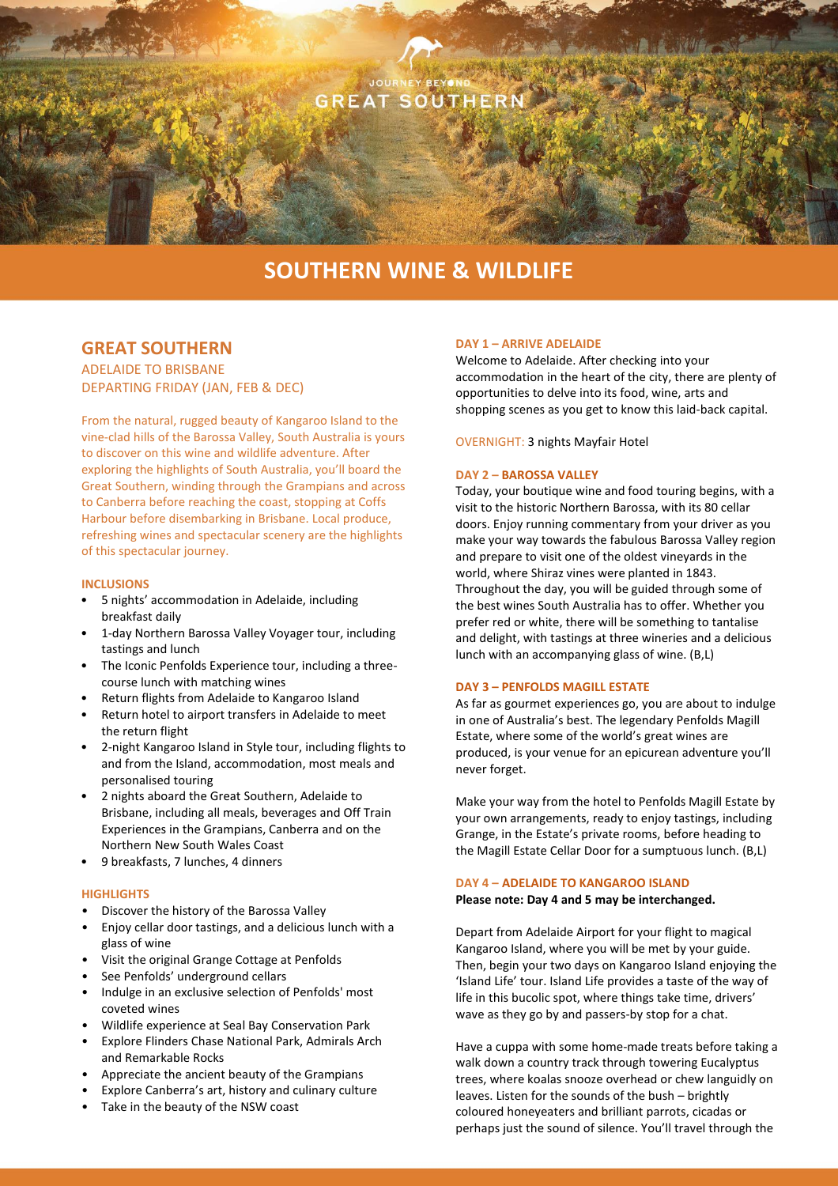

# **SOUTHERN WINE & WILDLIFE**

# **GREAT SOUTHERN**

ADELAIDE TO BRISBANE DEPARTING FRIDAY (JAN, FEB & DEC)

From the natural, rugged beauty of Kangaroo Island to the vine-clad hills of the Barossa Valley, South Australia is yours to discover on this wine and wildlife adventure. After exploring the highlights of South Australia, you'll board the Great Southern, winding through the Grampians and across to Canberra before reaching the coast, stopping at Coffs Harbour before disembarking in Brisbane. Local produce, refreshing wines and spectacular scenery are the highlights of this spectacular journey.

### **INCLUSIONS**

- 5 nights' accommodation in Adelaide, including breakfast daily
- 1-day Northern Barossa Valley Voyager tour, including tastings and lunch
- The Iconic Penfolds Experience tour, including a threecourse lunch with matching wines
- Return flights from Adelaide to Kangaroo Island
- Return hotel to airport transfers in Adelaide to meet the return flight
- 2-night Kangaroo Island in Style tour, including flights to and from the Island, accommodation, most meals and personalised touring
- 2 nights aboard the Great Southern, Adelaide to Brisbane, including all meals, beverages and Off Train Experiences in the Grampians, Canberra and on the Northern New South Wales Coast
- 9 breakfasts, 7 lunches, 4 dinners

### **HIGHLIGHTS**

- Discover the history of the Barossa Valley
- Enjoy cellar door tastings, and a delicious lunch with a glass of wine
- Visit the original Grange Cottage at Penfolds
- See Penfolds' underground cellars
- Indulge in an exclusive selection of Penfolds' most coveted wines
- Wildlife experience at Seal Bay Conservation Park
- Explore Flinders Chase National Park, Admirals Arch and Remarkable Rocks
- Appreciate the ancient beauty of the Grampians
- Explore Canberra's art, history and culinary culture
- Take in the beauty of the NSW coast

### **DAY 1 – ARRIVE ADELAIDE**

Welcome to Adelaide. After checking into your accommodation in the heart of the city, there are plenty of opportunities to delve into its food, wine, arts and shopping scenes as you get to know this laid-back capital.

OVERNIGHT: 3 nights Mayfair Hotel

### **DAY 2 – BAROSSA VALLEY**

Today, your boutique wine and food touring begins, with a visit to the historic Northern Barossa, with its 80 cellar doors. Enjoy running commentary from your driver as you make your way towards the fabulous Barossa Valley region and prepare to visit one of the oldest vineyards in the world, where Shiraz vines were planted in 1843. Throughout the day, you will be guided through some of the best wines South Australia has to offer. Whether you prefer red or white, there will be something to tantalise and delight, with tastings at three wineries and a delicious lunch with an accompanying glass of wine. (B,L)

### **DAY 3 – PENFOLDS MAGILL ESTATE**

As far as gourmet experiences go, you are about to indulge in one of Australia's best. The legendary Penfolds Magill Estate, where some of the world's great wines are produced, is your venue for an epicurean adventure you'll never forget.

Make your way from the hotel to Penfolds Magill Estate by your own arrangements, ready to enjoy tastings, including Grange, in the Estate's private rooms, before heading to the Magill Estate Cellar Door for a sumptuous lunch. (B,L)

# **DAY 4 – ADELAIDE TO KANGAROO ISLAND**

**Please note: Day 4 and 5 may be interchanged.**

Depart from Adelaide Airport for your flight to magical Kangaroo Island, where you will be met by your guide. Then, begin your two days on Kangaroo Island enjoying the 'Island Life' tour. Island Life provides a taste of the way of life in this bucolic spot, where things take time, drivers' wave as they go by and passers-by stop for a chat.

Have a cuppa with some home-made treats before taking a walk down a country track through towering Eucalyptus trees, where koalas snooze overhead or chew languidly on leaves. Listen for the sounds of the bush – brightly coloured honeyeaters and brilliant parrots, cicadas or perhaps just the sound of silence. You'll travel through the